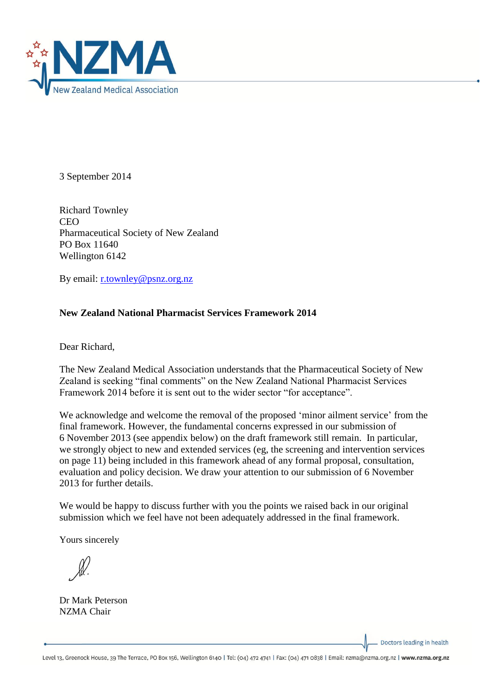

3 September 2014

Richard Townley **CEO** Pharmaceutical Society of New Zealand PO Box 11640 Wellington 6142

By email: [r.townley@psnz.org.nz](mailto:r.townley@psnz.org.nz)

## **New Zealand National Pharmacist Services Framework 2014**

Dear Richard,

The New Zealand Medical Association understands that the Pharmaceutical Society of New Zealand is seeking "final comments" on the New Zealand National Pharmacist Services Framework 2014 before it is sent out to the wider sector "for acceptance".

We acknowledge and welcome the removal of the proposed 'minor ailment service' from the final framework. However, the fundamental concerns expressed in our submission of 6 November 2013 (see appendix below) on the draft framework still remain. In particular, we strongly object to new and extended services (eg, the screening and intervention services on page 11) being included in this framework ahead of any formal proposal, consultation, evaluation and policy decision. We draw your attention to our submission of 6 November 2013 for further details.

We would be happy to discuss further with you the points we raised back in our original submission which we feel have not been adequately addressed in the final framework.

Yours sincerely

Dr Mark Peterson NZMA Chair

Doctors leading in health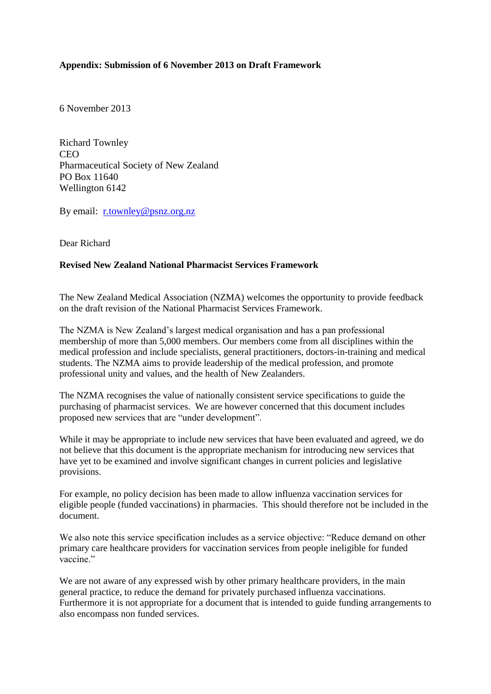## **Appendix: Submission of 6 November 2013 on Draft Framework**

6 November 2013

Richard Townley CEO Pharmaceutical Society of New Zealand PO Box 11640 Wellington 6142

By email: [r.townley@psnz.org.nz](mailto:r.townley@psnz.org.nz)

Dear Richard

## **Revised New Zealand National Pharmacist Services Framework**

The New Zealand Medical Association (NZMA) welcomes the opportunity to provide feedback on the draft revision of the National Pharmacist Services Framework.

The NZMA is New Zealand's largest medical organisation and has a pan professional membership of more than 5,000 members. Our members come from all disciplines within the medical profession and include specialists, general practitioners, doctors-in-training and medical students. The NZMA aims to provide leadership of the medical profession, and promote professional unity and values, and the health of New Zealanders.

The NZMA recognises the value of nationally consistent service specifications to guide the purchasing of pharmacist services. We are however concerned that this document includes proposed new services that are "under development".

While it may be appropriate to include new services that have been evaluated and agreed, we do not believe that this document is the appropriate mechanism for introducing new services that have yet to be examined and involve significant changes in current policies and legislative provisions.

For example, no policy decision has been made to allow influenza vaccination services for eligible people (funded vaccinations) in pharmacies. This should therefore not be included in the document.

We also note this service specification includes as a service objective: "Reduce demand on other primary care healthcare providers for vaccination services from people ineligible for funded vaccine."

We are not aware of any expressed wish by other primary healthcare providers, in the main general practice, to reduce the demand for privately purchased influenza vaccinations. Furthermore it is not appropriate for a document that is intended to guide funding arrangements to also encompass non funded services.